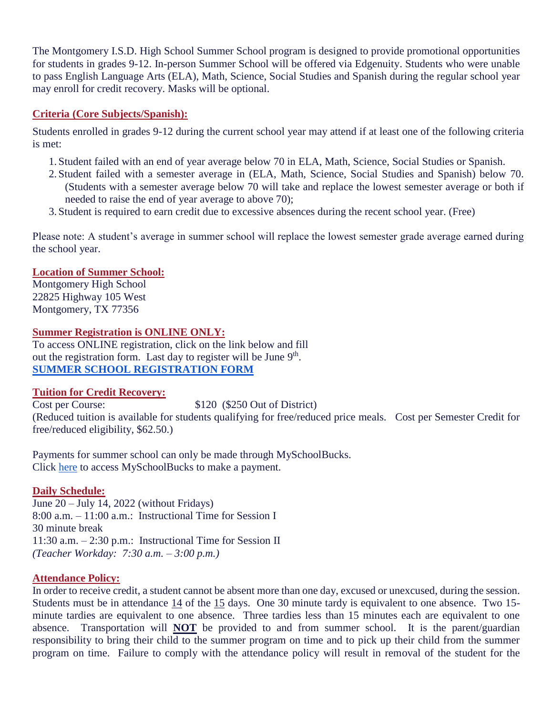The Montgomery I.S.D. High School Summer School program is designed to provide promotional opportunities for students in grades 9-12. In-person Summer School will be offered via Edgenuity. Students who were unable to pass English Language Arts (ELA), Math, Science, Social Studies and Spanish during the regular school year may enroll for credit recovery. Masks will be optional.

## **Criteria (Core Subjects/Spanish):**

Students enrolled in grades 9-12 during the current school year may attend if at least one of the following criteria is met:

- 1. Student failed with an end of year average below 70 in ELA, Math, Science, Social Studies or Spanish.
- 2. Student failed with a semester average in (ELA, Math, Science, Social Studies and Spanish) below 70. (Students with a semester average below 70 will take and replace the lowest semester average or both if needed to raise the end of year average to above 70);
- 3. Student is required to earn credit due to excessive absences during the recent school year. (Free)

Please note: A student's average in summer school will replace the lowest semester grade average earned during the school year.

## **Location of Summer School:**

Montgomery High School 22825 Highway 105 West Montgomery, TX 77356

# **Summer Registration is ONLINE ONLY:**

To access ONLINE registration, click on the link below and fill out the registration form. Last day to register will be June 9<sup>th</sup>. **[SUMMER SCHOOL REGISTRATION FORM](https://forms.office.com/Pages/ResponsePage.aspx?id=aNXioP38pUiOvteAor6fELerQg0B4o5FodmLmkPgb8dUMklUS1FGVUdSTks3UUpJUTU2V0hIVDVORi4u)**

### **Tuition for Credit Recovery:**

Cost per Course: \$120 (\$250 Out of District) (Reduced tuition is available for students qualifying for free/reduced price meals. Cost per Semester Credit for free/reduced eligibility, \$62.50.)

Payments for summer school can only be made through MySchoolBucks. Click [here](https://www.myschoolbucks.com/ver2/getmain.action?clientKey=&requestAction=home) to access MySchoolBucks to make a payment.

# **Daily Schedule:**

June 20 – July 14, 2022 (without Fridays) 8:00 a.m. – 11:00 a.m.: Instructional Time for Session I 30 minute break 11:30 a.m. – 2:30 p.m.: Instructional Time for Session II *(Teacher Workday: 7:30 a.m. – 3:00 p.m.)*

### **Attendance Policy:**

In order to receive credit, a student cannot be absent more than one day, excused or unexcused, during the session. Students must be in attendance 14 of the 15 days. One 30 minute tardy is equivalent to one absence. Two 15 minute tardies are equivalent to one absence. Three tardies less than 15 minutes each are equivalent to one absence. Transportation will **NOT** be provided to and from summer school. It is the parent/guardian responsibility to bring their child to the summer program on time and to pick up their child from the summer program on time. Failure to comply with the attendance policy will result in removal of the student for the